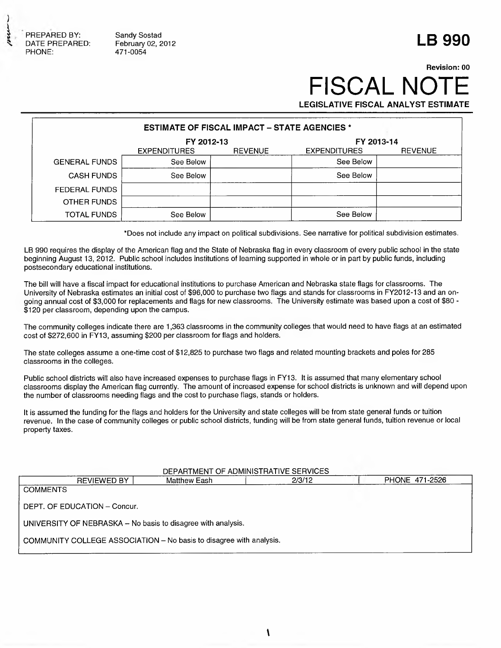

Sandy Sostad February 02, 2012 471-0054

## **LB 990**

## **FISCAL NOT LEGISLATIVE FISCAL ANALYST ESTIMATE Revision: 00**

| <b>ESTIMATE OF FISCAL IMPACT – STATE AGENCIES *</b> |                     |                |                     |                |  |  |  |
|-----------------------------------------------------|---------------------|----------------|---------------------|----------------|--|--|--|
| FY 2012-13<br>FY 2013-14                            |                     |                |                     |                |  |  |  |
|                                                     | <b>EXPENDITURES</b> | <b>REVENUE</b> | <b>EXPENDITURES</b> | <b>REVENUE</b> |  |  |  |
| <b>GENERAL FUNDS</b>                                | See Below           |                | See Below           |                |  |  |  |
| <b>CASH FUNDS</b>                                   | See Below           |                | See Below           |                |  |  |  |
| <b>FEDERAL FUNDS</b>                                |                     |                |                     |                |  |  |  |
| OTHER FUNDS                                         |                     |                |                     |                |  |  |  |
| <b>TOTAL FUNDS</b>                                  | See Below           |                | See Below           |                |  |  |  |

' Does not include any impact on political subdivisions. See narrative for political subdivision estimates.

LB 990 requires the display of the American flag and the State of Nebraska flag in every classroom of every public school in the state beginning August 13, 2012. Public school includes institutions of learning supported in whole or in part by public funds, including postsecondary educational institutions.

The bill will have a fiscal impact for educational institutions to purchase American and Nebraska state flags for classrooms. The University of Nebraska estimates an initial cost of \$96,000 to purchase two flags and stands for classrooms in FY2012-13 and an ongoing annual cost of \$3,000 for replacements and flags for new classrooms. The University estimate was based upon a cost of \$80 -  $$120$  per classroom, depending upon the campus.

The community colleges indicate there are 1,363 classrooms in the community colleges that would need to have flags at an estimated cost of \$272,600 in FY13, assuming \$200 per classroom for flags and holders.

The state colleges assume a one-time cost of \$12,825 to purchase two flags and related mounting brackets and poles for 285 classrooms in the colleges.

Public school districts will also have increased expenses to purchase flags in FY13. It is assumed that many elementary school classrooms display the American flag currently. The amount of increased expense for school districts is unknown and will depend upon the number of classrooms needing flags and the cost to purchase flags, stands or holders.

It is assumed the funding for the flags and holders for the University and state colleges will be from state general funds or tuition revenue. In the case of community colleges or public school districts, funding will be from state general funds, tuition revenue or local property taxes.

| DEPARTMENT OF ADMINISTRATIVE SERVICES                        |                                                                     |              |  |        |  |                |  |
|--------------------------------------------------------------|---------------------------------------------------------------------|--------------|--|--------|--|----------------|--|
|                                                              | <b>REVIEWED BY</b>                                                  | Matthew Eash |  | 2/3/12 |  | PHONE 471-2526 |  |
| <b>COMMENTS</b>                                              |                                                                     |              |  |        |  |                |  |
| DEPT. OF EDUCATION - Concur.                                 |                                                                     |              |  |        |  |                |  |
| UNIVERSITY OF NEBRASKA - No basis to disagree with analysis. |                                                                     |              |  |        |  |                |  |
|                                                              | COMMUNITY COLLEGE ASSOCIATION - No basis to disagree with analysis. |              |  |        |  |                |  |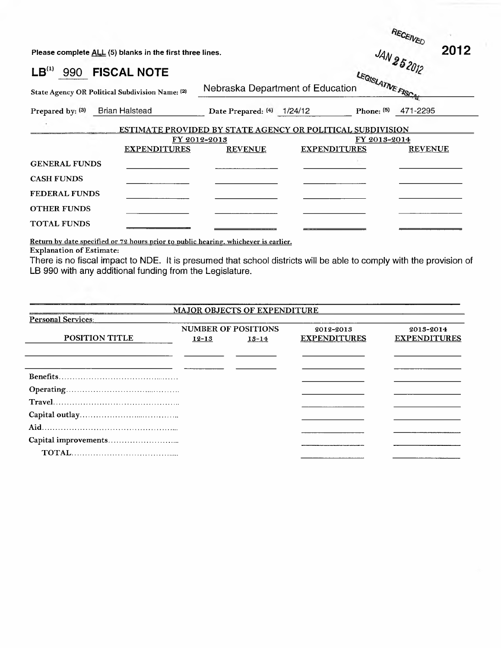| Please complete ALL (5) blanks in the first three lines. |                                                 |                                                            |                     | 2012<br>JAN 252012 |                          |  |
|----------------------------------------------------------|-------------------------------------------------|------------------------------------------------------------|---------------------|--------------------|--------------------------|--|
| LB <sup>(1)</sup>                                        | 990 FISCAL NOTE                                 |                                                            |                     |                    |                          |  |
|                                                          | State Agency OR Political Subdivision Name: (2) | Nebraska Department of Education                           |                     | LEGISLATIVE FISCA  |                          |  |
|                                                          | Prepared by: (3) Brian Halstead                 | Date Prepared: $(4)$ 1/24/12                               |                     |                    | Phone: $^{(5)}$ 471-2295 |  |
|                                                          |                                                 | ESTIMATE PROVIDED BY STATE AGENCY OR POLITICAL SUBDIVISION |                     |                    |                          |  |
|                                                          | <b>EXPENDITURES</b>                             | FY 2012-2013<br><b>REVENUE</b>                             | <b>EXPENDITURES</b> | FY 2013-2014       | <b>REVENUE</b>           |  |
| <b>GENERAL FUNDS</b>                                     |                                                 |                                                            |                     |                    |                          |  |
| <b>CASH FUNDS</b>                                        |                                                 |                                                            |                     |                    |                          |  |
| <b>FEDERAL FUNDS</b>                                     |                                                 |                                                            |                     |                    |                          |  |
| <b>OTHER FUNDS</b>                                       |                                                 |                                                            |                     |                    |                          |  |
| <b>TOTAL FUNDS</b>                                       |                                                 |                                                            |                     |                    |                          |  |

**RECEIVED** 

**2012**

Return by date specified or 72 hours prior to public hearing. whichever is earlier. Explanation of Estimate:

There is no fiscal impact to NDE. It is presumed that school districts will be able to comply with the provision of LB 990 with any additional funding from the Legislature.

|                           |                                                      | <b>MAJOR OBJECTS OF EXPENDITURE</b> |                                  |                                  |
|---------------------------|------------------------------------------------------|-------------------------------------|----------------------------------|----------------------------------|
| <b>Personal Services:</b> |                                                      |                                     |                                  |                                  |
| <b>POSITION TITLE</b>     | <b>NUMBER OF POSITIONS</b><br>$12 - 13$<br>$13 - 14$ |                                     | 2012-2013<br><b>EXPENDITURES</b> | 2013-2014<br><b>EXPENDITURES</b> |
|                           |                                                      |                                     |                                  |                                  |
|                           |                                                      |                                     |                                  |                                  |
|                           |                                                      |                                     |                                  |                                  |
|                           |                                                      |                                     |                                  |                                  |
|                           |                                                      |                                     |                                  |                                  |
|                           |                                                      |                                     |                                  |                                  |
|                           |                                                      |                                     |                                  |                                  |
|                           |                                                      |                                     |                                  |                                  |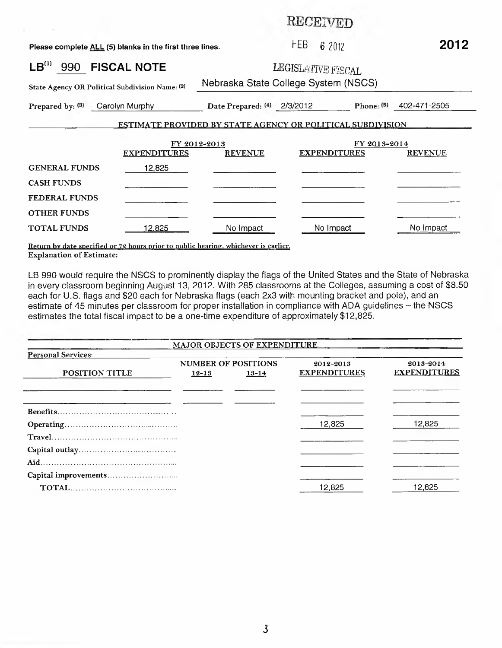**RECEIVED** 

| Please complete ALL (5) blanks in the first three lines.   |                     |                                | FEB<br>62012                         |              | 2012           |  |  |  |
|------------------------------------------------------------|---------------------|--------------------------------|--------------------------------------|--------------|----------------|--|--|--|
| LB <sup>(1)</sup><br>990                                   | <b>FISCAL NOTE</b>  |                                | LEGISLATIVE FISCAL                   |              |                |  |  |  |
| State Agency OR Political Subdivision Name: (2)            |                     |                                | Nebraska State College System (NSCS) |              |                |  |  |  |
| Prepared by: (3)                                           | Carolyn Murphy      | Date Prepared: (4) 2/3/2012    |                                      | Phone: $(5)$ | 402-471-2505   |  |  |  |
| ESTIMATE PROVIDED BY STATE AGENCY OR POLITICAL SUBDIVISION |                     |                                |                                      |              |                |  |  |  |
|                                                            | <b>EXPENDITURES</b> | FY 2012-2013<br><b>REVENUE</b> | <b>EXPENDITURES</b>                  | FY 2013-2014 | <b>REVENUE</b> |  |  |  |
| <b>GENERAL FUNDS</b>                                       | 12,825              |                                |                                      |              |                |  |  |  |
| <b>CASH FUNDS</b>                                          |                     |                                |                                      |              |                |  |  |  |
| <b>FEDERAL FUNDS</b>                                       |                     |                                |                                      |              |                |  |  |  |
| <b>OTHER FUNDS</b>                                         |                     |                                |                                      |              |                |  |  |  |
| <b>TOTAL FUNDS</b>                                         | 12.825              | No Impact                      | No Impact                            |              | No Impact      |  |  |  |

Return bv date specified or 72 hours prior to public hearing, whichever is earlier, Explanation of Estimate:

LB 990 would require the NSCS to prominently display the flags of the United States and the State of Nebraska in every classroom beginning August 13, 2012. With 285 classrooms at the Colleges, assuming a cost of \$8.50 each for U.S. flags and \$20 each for Nebraska flags (each 2x3 with mounting bracket and pole), and an estimate of 45 minutes per classroom for proper installation in compliance with ADA guidelines - the NSCS estimates the total fiscal impact to be a one-time expenditure of approximately \$12,825.

|                           |                                                      | <b>MAJOR OBJECTS OF EXPENDITURE</b> |                                  |                                  |
|---------------------------|------------------------------------------------------|-------------------------------------|----------------------------------|----------------------------------|
| <b>Personal Services:</b> |                                                      |                                     |                                  |                                  |
| <b>POSITION TITLE</b>     | <b>NUMBER OF POSITIONS</b><br>$12 - 13$<br>$13 - 14$ |                                     | 2012-2013<br><b>EXPENDITURES</b> | 2013-2014<br><b>EXPENDITURES</b> |
|                           |                                                      |                                     |                                  |                                  |
| <b>Benefits</b>           |                                                      |                                     |                                  |                                  |
|                           |                                                      |                                     | 12,825                           | 12,825                           |
|                           |                                                      |                                     |                                  |                                  |
|                           |                                                      |                                     |                                  |                                  |
|                           |                                                      |                                     |                                  |                                  |
|                           |                                                      |                                     |                                  |                                  |
|                           |                                                      |                                     | 12,825                           | 12,825                           |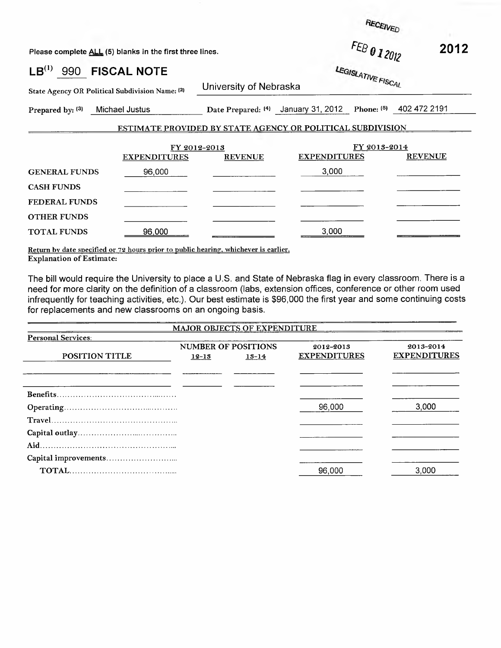RECEIVED

*'CAL*

Please complete <u>ALL</u> (5) blanks in the first three lines. *<sup>FEB</sup>* 012012

|                  |  | $-$ 2012 |  |
|------------------|--|----------|--|
| LEGISI ATIVE FIF |  |          |  |
|                  |  |          |  |

**LB(1) 990 FISCAL NOTE**

State Agency OR Political Subdivision Name: <sup>(2)</sup>

University of Nebraska

Prepared by: (3) Michael Justus

Date Prepared: <sup>(4)</sup> January 31, 2012 Phone: <sup>(5)</sup> 402 472 2191

## ESTIMATE PROVIDED BY STATE AGENCY OR POLITICAL SUBDIVISION

|                      | FY 2012-2013        |                | FY 2013-2014        |                |  |
|----------------------|---------------------|----------------|---------------------|----------------|--|
|                      | <b>EXPENDITURES</b> | <b>REVENUE</b> | <b>EXPENDITURES</b> | <b>REVENUE</b> |  |
| <b>GENERAL FUNDS</b> | 96,000              |                | 3,000               |                |  |
| <b>CASH FUNDS</b>    |                     |                |                     |                |  |
| <b>FEDERAL FUNDS</b> |                     |                |                     |                |  |
| <b>OTHER FUNDS</b>   |                     |                |                     |                |  |
| <b>TOTAL FUNDS</b>   | 96,000              |                | 3,000               |                |  |

Return by date specified or 72 hours prior to public hearing, whichever is earlier. Explanation of Estimate:

The bill would require the University to place a U.S. and State of Nebraska flag in every classroom. There is a need for more clarity on the definition of a classroom (labs, extension offices, conference or other room used infrequently for teaching activities, etc.). Our best estimate is \$96,000 the first year and some continuing costs for replacements and new classrooms on an ongoing basis.

|                           |           | <b>MAJOR OBJECTS OF EXPENDITURE</b> |                     |                     |
|---------------------------|-----------|-------------------------------------|---------------------|---------------------|
| <b>Personal Services:</b> |           |                                     |                     |                     |
|                           |           | <b>NUMBER OF POSITIONS</b>          | 2012-2013           | 2013-2014           |
| POSITION TITLE            | $12 - 13$ | $13 - 14$                           | <b>EXPENDITURES</b> | <b>EXPENDITURES</b> |
|                           |           |                                     |                     |                     |
|                           |           |                                     |                     |                     |
|                           |           |                                     |                     |                     |
|                           |           |                                     | 96,000              | 3.000               |
| Travel                    |           |                                     |                     |                     |
|                           |           |                                     |                     |                     |
|                           |           |                                     |                     |                     |
|                           |           |                                     |                     |                     |
|                           |           |                                     | 96,000              | 3,000               |